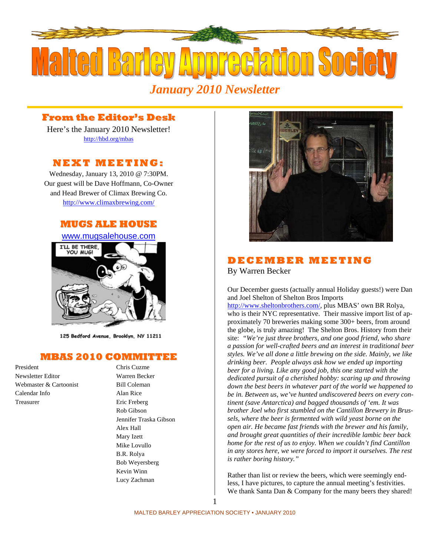

## **From the Editor's Desk**

Here's the January 2010 Newsletter! http://hbd.org/mbas

## **NEXT MEETI NG:**

Wednesday, January 13, 2010 @ 7:30PM. Our guest will be Dave Hoffmann, Co-Owner and Head Brewer of Climax Brewing Co. http://www.climaxbrewing.com/

### **MUGS ALE HOUSE**

www.mugsalehouse.com



125 Bedford Avenue, Brooklyn, NY 11211

### **MBAS 2010 COMMITTEE**

President Chris Cuzme Newsletter Editor Warren Becker Webmaster & Cartoonist Bill Coleman Calendar Info Alan Rice Treasurer Eric Freberg

Rob Gibson Jennifer Traska Gibson Alex Hall Mary Izett Mike Lovullo B.R. Rolya Bob Weyersberg Kevin Winn Lucy Zachman



# **DE C EMBE R MEETI NG**

By Warren Becker

Our December guests (actually annual Holiday guests!) were Dan and Joel Shelton of Shelton Bros Imports

http://www.sheltonbrothers.com/, plus MBAS' own BR Rolya, who is their NYC representative. Their massive import list of approximately 70 breweries making some 300+ beers, from around the globe, is truly amazing! The Shelton Bros. History from their site: *"We're just three brothers, and one good friend, who share a passion for well-crafted beers and an interest in traditional beer styles. We've all done a little brewing on the side. Mainly, we like drinking beer. People always ask how we ended up importing beer for a living. Like any good job, this one started with the dedicated pursuit of a cherished hobby: scaring up and throwing down the best beers in whatever part of the world we happened to be in. Between us, we've hunted undiscovered beers on every continent (save Antarctica) and bagged thousands of 'em. It was brother Joel who first stumbled on the Cantillon Brewery in Brussels, where the beer is fermented with wild yeast borne on the open air. He became fast friends with the brewer and his family, and brought great quantities of their incredible lambic beer back home for the rest of us to enjoy. When we couldn't find Cantillon in any stores here, we were forced to import it ourselves. The rest is rather boring history."* 

Rather than list or review the beers, which were seemingly endless, I have pictures, to capture the annual meeting's festivities. We thank Santa Dan & Company for the many beers they shared!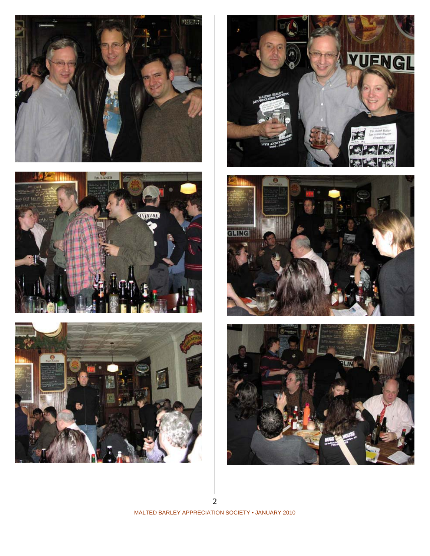











MALTED BARLEY APPRECIATION SOCIETY • JANUARY 2010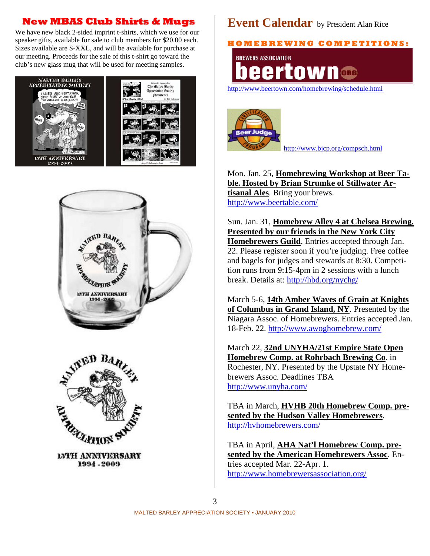## **New MBAS Club Shirts & Mugs**

We have new black 2-sided imprint t-shirts, which we use for our speaker gifts, available for sale to club members for \$20.00 each. Sizes available are S-XXL, and will be available for purchase at our meeting. Proceeds for the sale of this t-shirt go toward the club's new glass mug that will be used for meeting samples.







**15TH ANNIVERSARY** 1994 - 2009

# **Event Calendar** by President Alan Rice

**H O M E B R E WI N G C O M P E TI TI O N S:**

**BREWERS ASSOCIATION** ee tow ORG

http://www.beertown.com/homebrewing/schedule.html



http://www.bjcp.org/compsch.html

Mon. Jan. 25, **Homebrewing Workshop at Beer Table. Hosted by Brian Strumke of Stillwater Artisanal Ales**. Bring your brews. http://www.beertable.com/

Sun. Jan. 31, **Homebrew Alley 4 at Chelsea Brewing. Presented by our friends in the New York City Homebrewers Guild**. Entries accepted through Jan. 22. Please register soon if you're judging. Free coffee and bagels for judges and stewards at 8:30. Competition runs from 9:15-4pm in 2 sessions with a lunch break. Details at: http://hbd.org/nychg/

March 5-6, **14th Amber Waves of Grain at Knights of Columbus in Grand Island, NY**. Presented by the Niagara Assoc. of Homebrewers. Entries accepted Jan. 18-Feb. 22. http://www.awoghomebrew.com/

March 22, **32nd UNYHA/21st Empire State Open Homebrew Comp. at Rohrbach Brewing Co**. in Rochester, NY. Presented by the Upstate NY Homebrewers Assoc. Deadlines TBA http://www.unyha.com/

TBA in March, **HVHB 20th Homebrew Comp. presented by the Hudson Valley Homebrewers**. http://hvhomebrewers.com/

TBA in April, **AHA Nat'l Homebrew Comp. presented by the American Homebrewers Assoc**. Entries accepted Mar. 22-Apr. 1. http://www.homebrewersassociation.org/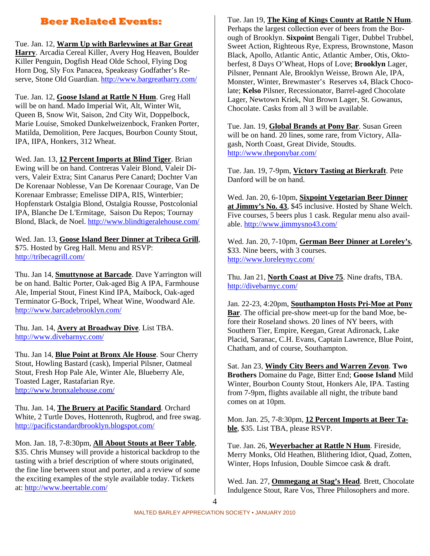## **Beer Related Events:**

Tue. Jan. 12, **Warm Up with Barleywines at Bar Great Harry**. Arcadia Cereal Killer, Avery Hog Heaven, Boulder Killer Penguin, Dogfish Head Olde School, Flying Dog Horn Dog, Sly Fox Panacea, Speakeasy Godfather's Reserve, Stone Old Guardian. http://www.bargreatharry.com/

Tue. Jan. 12, **Goose Island at Rattle N Hum**. Greg Hall will be on hand. Mado Imperial Wit, Alt, Winter Wit, Queen B, Snow Wit, Saison, 2nd City Wit, Doppelbock, Marie Louise, Smoked Dunkelweizenbock, Franken Porter, Matilda, Demolition, Pere Jacques, Bourbon County Stout, IPA, IIPA, Honkers, 312 Wheat.

Wed. Jan. 13, **12 Percent Imports at Blind Tiger**. Brian Ewing will be on hand. Contreras Valeir Blond, Valeir Divers, Valeir Extra; Sint Canarus Pere Canard; Dochter Van De Korenaar Noblesse, Van De Korenaar Courage, Van De Korenaar Embrasse; Emelisse DIPA, RIS, Winterbier; Hopfenstark Ostalgia Blond, Ostalgia Rousse, Postcolonial IPA, Blanche De L'Ermitage, Saison Du Repos; Tournay Blond, Black, de Noel. http://www.blindtigeralehouse.com/

Wed. Jan. 13, **Goose Island Beer Dinner at Tribeca Grill**, \$75. Hosted by Greg Hall. Menu and RSVP: http://tribecagrill.com/

Thu. Jan 14, **Smuttynose at Barcade**. Dave Yarrington will be on hand. Baltic Porter, Oak-aged Big A IPA, Farmhouse Ale, Imperial Stout, Finest Kind IPA, Maibock, Oak-aged Terminator G-Bock, Tripel, Wheat Wine, Woodward Ale. http://www.barcadebrooklyn.com/

Thu. Jan. 14, **Avery at Broadway Dive**. List TBA. http://www.divebarnyc.com/

Thu. Jan 14, **Blue Point at Bronx Ale House**. Sour Cherry Stout, Howling Bastard (cask), Imperial Pilsner, Oatmeal Stout, Fresh Hop Pale Ale, Winter Ale, Blueberry Ale, Toasted Lager, Rastafarian Rye. http://www.bronxalehouse.com/

Thu. Jan. 14, **The Bruery at Pacific Standard**. Orchard White, 2 Turtle Doves, Hottenroth, Rugbrod, and free swag. http://pacificstandardbrooklyn.blogspot.com/

Mon. Jan. 18, 7-8:30pm, **All About Stouts at Beer Table**, \$35. Chris Munsey will provide a historical backdrop to the tasting with a brief description of where stouts originated, the fine line between stout and porter, and a review of some the exciting examples of the style available today. Tickets at: http://www.beertable.com/

Tue. Jan 19, **The King of Kings County at Rattle N Hum**. Perhaps the largest collection ever of beers from the Borough of Brooklyn. **Sixpoint** Bengali Tiger, Dubbel Trubbel, Sweet Action, Righteous Rye, Express, Brownstone, Mason Black, Apollo, Atlantic Antic, Atlantic Amber, Otis, Oktoberfest, 8 Days O'Wheat, Hops of Love; **Brooklyn** Lager, Pilsner, Pennant Ale, Brooklyn Weisse, Brown Ale, IPA, Monster, Winter, Brewmaster's Reserves x4, Black Chocolate; **Kelso** Pilsner, Recessionator, Barrel-aged Chocolate Lager, Newtown Kriek, Nut Brown Lager, St. Gowanus, Chocolate. Casks from all 3 will be available.

Tue. Jan. 19, **Global Brands at Pony Bar**. Susan Green will be on hand. 20 lines, some rare, from Victory, Allagash, North Coast, Great Divide, Stoudts. http://www.theponybar.com/

Tue. Jan. 19, 7-9pm, **Victory Tasting at Bierkraft**. Pete Danford will be on hand.

Wed. Jan. 20, 6-10pm, **Sixpoint Vegetarian Beer Dinner at Jimmy's No. 43**, \$45 inclusive. Hosted by Shane Welch. Five courses, 5 beers plus 1 cask. Regular menu also available. http://www.jimmysno43.com/

Wed. Jan. 20, 7-10pm, **German Beer Dinner at Loreley's**, \$33. Nine beers, with 3 courses. http://www.loreleynyc.com/

Thu. Jan 21, **North Coast at Dive 75**. Nine drafts, TBA. http://divebarnyc.com/

Jan. 22-23, 4:20pm, **Southampton Hosts Pri-Moe at Pony Bar**. The official pre-show meet-up for the band Moe, before their Roseland shows. 20 lines of NY beers, with Southern Tier, Empire, Keegan, Great Adironack, Lake Placid, Saranac, C.H. Evans, Captain Lawrence, Blue Point, Chatham, and of course, Southampton.

Sat. Jan 23, **Windy City Beers and Warren Zevon**. **Two Brothers** Domaine du Page, Bitter End; **Goose Island** Mild Winter, Bourbon County Stout, Honkers Ale, IPA. Tasting from 7-9pm, flights available all night, the tribute band comes on at 10pm.

Mon. Jan. 25, 7-8:30pm, **12 Percent Imports at Beer Table**, \$35. List TBA, please RSVP.

Tue. Jan. 26, **Weyerbacher at Rattle N Hum**. Fireside, Merry Monks, Old Heathen, Blithering Idiot, Quad, Zotten, Winter, Hops Infusion, Double Simcoe cask & draft.

Wed. Jan. 27, **Ommegang at Stag's Head**. Brett, Chocolate Indulgence Stout, Rare Vos, Three Philosophers and more.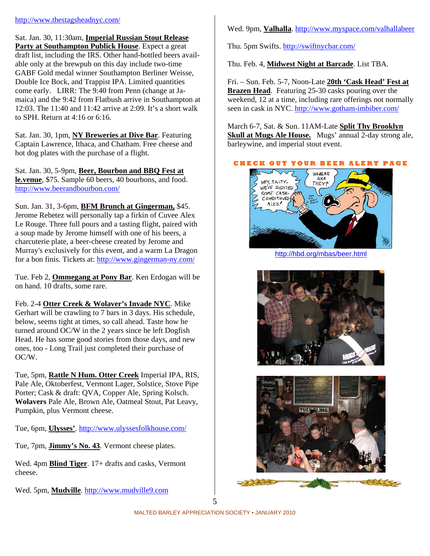### http://www.thestagsheadnyc.com/

Sat. Jan. 30, 11:30am, **Imperial Russian Stout Release Party at Southampton Publick House**. Expect a great draft list, including the IRS. Other hand-bottled beers available only at the brewpub on this day include two-time GABF Gold medal winner Southampton Berliner Weisse, Double Ice Bock, and Trappist IPA. Limited quantities come early. LIRR: The 9:40 from Penn (change at Jamaica) and the 9:42 from Flatbush arrive in Southampton at 12:03. The 11:40 and 11:42 arrive at 2:09. It's a short walk to SPH. Return at 4:16 or 6:16.

Sat. Jan. 30, 1pm, **NY Breweries at Dive Bar**. Featuring Captain Lawrence, Ithaca, and Chatham. Free cheese and hot dog plates with the purchase of a flight.

Sat. Jan. 30, 5-9pm, **Beer, Bourbon and BBQ Fest at le.venue**, \$75. Sample 60 beers, 40 bourbons, and food. http://www.beerandbourbon.com/

Sun. Jan. 31, 3-6pm, **BFM Brunch at Gingerman,** \$45. Jerome Rebetez will personally tap a firkin of Cuvee Alex Le Rouge. Three full pours and a tasting flight, paired with a soup made by Jerome himself with one of his beers, a charcuterie plate, a beer-cheese created by Jerome and Murray's exclusively for this event, and a warm La Dragon for a bon finis. Tickets at: http://www.gingerman-ny.com/

Tue. Feb 2, **Ommegang at Pony Bar**. Ken Erdogan will be on hand. 10 drafts, some rare.

Feb. 2-4 **Otter Creek & Wolaver's Invade NYC**. Mike Gerhart will be crawling to 7 bars in 3 days. His schedule, below, seems tight at times, so call ahead. Taste how he turned around OC/W in the 2 years since he left Dogfish Head. He has some good stories from those days, and new ones, too - Long Trail just completed their purchase of OC/W.

Tue, 5pm, **Rattle N Hum. Otter Creek** Imperial IPA, RIS, Pale Ale, Oktoberfest, Vermont Lager, Solstice, Stove Pipe Porter; Cask & draft: QVA, Copper Ale, Spring Kolsch. **Wolavers** Pale Ale, Brown Ale, Oatmeal Stout, Pat Leavy, Pumpkin, plus Vermont cheese.

Tue, 6pm, **Ulysses'**. http://www.ulyssesfolkhouse.com/

Tue, 7pm, **Jimmy's No. 43**. Vermont cheese plates.

Wed. 4pm **Blind Tiger**. 17+ drafts and casks, Vermont cheese.

Wed. 5pm, **Mudville**. http://www.mudville9.com

Wed. 9pm, **Valhalla**. http://www.myspace.com/valhallabeer

Thu. 5pm Swifts. http://swiftnycbar.com/

Thu. Feb. 4, **Midwest Night at Barcade**. List TBA.

Fri. – Sun. Feb. 5-7, Noon-Late **20th 'Cask Head' Fest at Brazen Head.** Featuring 25-30 casks pouring over the weekend, 12 at a time, including rare offerings not normally seen in cask in NYC. http://www.gotham-imbiber.com/

March 6-7, Sat. & Sun. 11AM-Late **Split Thy Brooklyn Skull at Mugs Ale House.** Mugs' annual 2-day strong ale, barleywine, and imperial stout event.

#### **C H E C K O U T Y O U R B E E R A L E R T P A G E**



http://hbd.org/mbas/beer.html





5